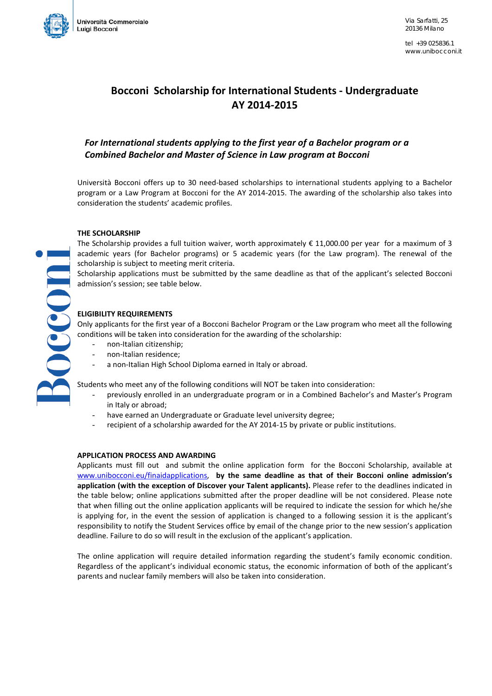

OCCOD

tel +39 025836.1 www.unibocconi.it

# **Bocconi Scholarship for International Students - Undergraduate AY 2014-2015**

## *For International students applying to the first year of a Bachelor program or a Combined Bachelor and Master of Science in Law program at Bocconi*

Università Bocconi offers up to 30 need-based scholarships to international students applying to a Bachelor program or a Law Program at Bocconi for the AY 2014-2015. The awarding of the scholarship also takes into consideration the students' academic profiles.

#### **THE SCHOLARSHIP**

The Scholarship provides a full tuition waiver, worth approximately € 11,000.00 per year for a maximum of 3 academic years (for Bachelor programs) or 5 academic years (for the Law program). The renewal of the scholarship is subject to meeting merit criteria.

Scholarship applications must be submitted by the same deadline as that of the applicant's selected Bocconi admission's session; see table below.

#### **ELIGIBILITY REQUIREMENTS**

Only applicants for the first year of a Bocconi Bachelor Program or the Law program who meet all the following conditions will be taken into consideration for the awarding of the scholarship:

- non-Italian citizenship;
- non-Italian residence;
- a non-Italian High School Diploma earned in Italy or abroad.

Students who meet any of the following conditions will NOT be taken into consideration:

- previously enrolled in an undergraduate program or in a Combined Bachelor's and Master's Program in Italy or abroad;
- have earned an Undergraduate or Graduate level university degree;
- recipient of a scholarship awarded for the AY 2014-15 by private or public institutions.

#### **APPLICATION PROCESS AND AWARDING**

Applicants must fill out and submit the online application form for the Bocconi Scholarship, available at [www.unibocconi.eu/finaidapplications,](http://www.unibocconi.eu/finaidapplications) **by the same deadline as that of their Bocconi online admission's application (with the exception of Discover your Talent applicants).** Please refer to the deadlines indicated in the table below; online applications submitted after the proper deadline will be not considered. Please note that when filling out the online application applicants will be required to indicate the session for which he/she is applying for, in the event the session of application is changed to a following session it is the applicant's responsibility to notify the Student Services office by email of the change prior to the new session's application deadline. Failure to do so will result in the exclusion of the applicant's application.

The online application will require detailed information regarding the student's family economic condition. Regardless of the applicant's individual economic status, the economic information of both of the applicant's parents and nuclear family members will also be taken into consideration.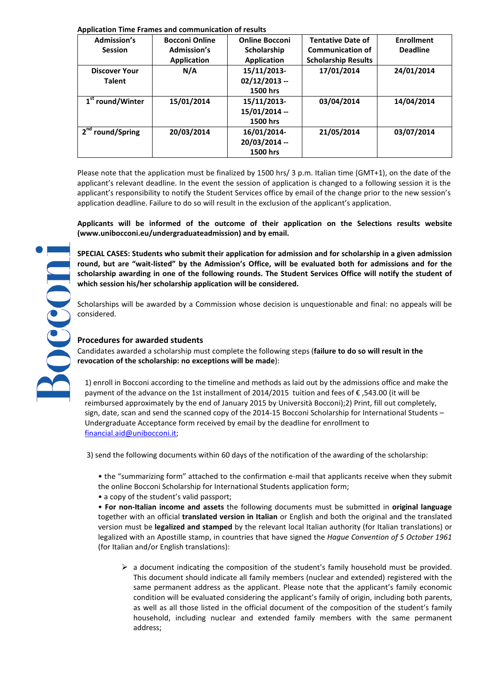#### **Application Time Frames and communication of results**

| <b>Admission's</b>           | <b>Bocconi Online</b> | <b>Online Bocconi</b> | <b>Tentative Date of</b>   | <b>Enrollment</b> |
|------------------------------|-----------------------|-----------------------|----------------------------|-------------------|
| <b>Session</b>               | <b>Admission's</b>    | Scholarship           | <b>Communication of</b>    | <b>Deadline</b>   |
|                              | <b>Application</b>    | Application           | <b>Scholarship Results</b> |                   |
| <b>Discover Your</b>         | N/A                   | 15/11/2013-           | 17/01/2014                 | 24/01/2014        |
| <b>Talent</b>                |                       | $02/12/2013 -$        |                            |                   |
|                              |                       | 1500 hrs              |                            |                   |
| 1 <sup>st</sup> round/Winter | 15/01/2014            | 15/11/2013-           | 03/04/2014                 | 14/04/2014        |
|                              |                       | 15/01/2014 --         |                            |                   |
|                              |                       | 1500 hrs              |                            |                   |
| 2 <sup>nd</sup> round/Spring | 20/03/2014            | 16/01/2014-           | 21/05/2014                 | 03/07/2014        |
|                              |                       | 20/03/2014 --         |                            |                   |
|                              |                       | 1500 hrs              |                            |                   |

Please note that the application must be finalized by 1500 hrs/ 3 p.m. Italian time (GMT+1), on the date of the applicant's relevant deadline. In the event the session of application is changed to a following session it is the applicant's responsibility to notify the Student Services office by email of the change prior to the new session's application deadline. Failure to do so will result in the exclusion of the applicant's application.

**Applicants will be informed of the outcome of their application on the Selections results website (www.unibocconi.eu/undergraduateadmission) and by email.**

**SPECIAL CASES: Students who submit their application for admission and for scholarship in a given admission round, but are "wait-listed" by the Admission's Office, will be evaluated both for admissions and for the scholarship awarding in one of the following rounds. The Student Services Office will notify the student of which session his/her scholarship application will be considered.** 

Scholarships will be awarded by a Commission whose decision is unquestionable and final: no appeals will be considered.

### **Procedures for awarded students**

Candidates awarded a scholarship must complete the following steps (**failure to do so will result in the revocation of the scholarship: no exceptions will be made**):

1) enroll in Bocconi according to the timeline and methods as laid out by the admissions office and make the payment of the advance on the 1st installment of 2014/2015 tuition and fees of € ,543.00 (it will be reimbursed approximately by the end of January 2015 by Università Bocconi);2) Print, fill out completely, sign, date, scan and send the scanned copy of the 2014-15 Bocconi Scholarship for International Students – Undergraduate Acceptance form received by email by the deadline for enrollment to [financial.aid@unibocconi.it;](mailto:financial.aid@unibocconi.it)

3) send the following documents within 60 days of the notification of the awarding of the scholarship:

• the "summarizing form" attached to the confirmation e-mail that applicants receive when they submit the online Bocconi Scholarship for International Students application form;

• a copy of the student's valid passport;

• **For non-Italian income and assets** the following documents must be submitted in **original language** together with an official **translated version in Italian** or English and both the original and the translated version must be **legalized and stamped** by the relevant local Italian authority (for Italian translations) or legalized with an Apostille stamp, in countries that have signed the *Hague Convention of 5 October 1961* (for Italian and/or English translations):

 $\triangleright$  a document indicating the composition of the student's family household must be provided. This document should indicate all family members (nuclear and extended) registered with the same permanent address as the applicant. Please note that the applicant's family economic condition will be evaluated considering the applicant's family of origin, including both parents, as well as all those listed in the official document of the composition of the student's family household, including nuclear and extended family members with the same permanent address;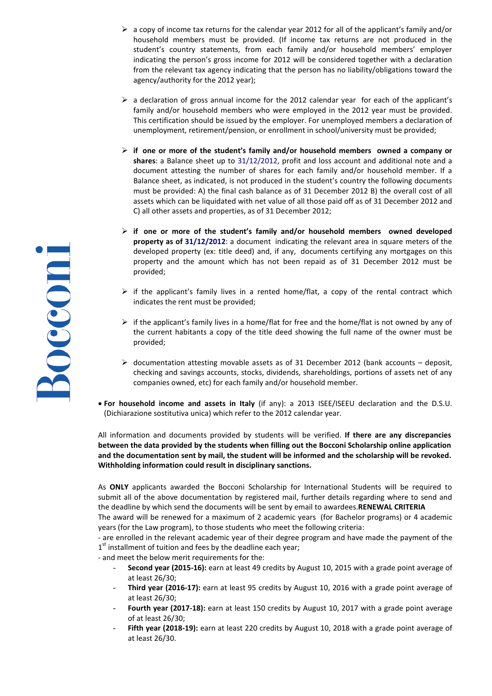- $\triangleright$  a copy of income tax returns for the calendar year 2012 for all of the applicant's family and/or household members must be provided. (If income tax returns are not produced in the student's country statements, from each family and/or household members' employer indicating the person's gross income for 2012 will be considered together with a declaration from the relevant tax agency indicating that the person has no liability/obligations toward the agency/authority for the 2012 year);
- $\triangleright$  a declaration of gross annual income for the 2012 calendar year for each of the applicant's family and/or household members who were employed in the 2012 year must be provided. This certification should be issued by the employer. For unemployed members a declaration of unemployment, retirement/pension, or enrollment in school/university must be provided;
- **if one or more of the student's family and/or household members owned a company or shares**: a Balance sheet up to 31/12/2012, profit and loss account and additional note and a document attesting the number of shares for each family and/or household member. If a Balance sheet, as indicated, is not produced in the student's country the following documents must be provided: A) the final cash balance as of 31 December 2012 B) the overall cost of all assets which can be liquidated with net value of all those paid off as of 31 December 2012 and C) all other assets and properties, as of 31 December 2012;
- $\triangleright$  if one or more of the student's family and/or household members owned developed **property as of 31/12/2012**: a document indicating the relevant area in square meters of the developed property (ex: title deed) and, if any, documents certifying any mortgages on this property and the amount which has not been repaid as of 31 December 2012 must be provided;
- $\triangleright$  if the applicant's family lives in a rented home/flat, a copy of the rental contract which indicates the rent must be provided;
- $\triangleright$  if the applicant's family lives in a home/flat for free and the home/flat is not owned by any of the current habitants a copy of the title deed showing the full name of the owner must be provided;
- $\triangleright$  documentation attesting movable assets as of 31 December 2012 (bank accounts deposit, checking and savings accounts, stocks, dividends, shareholdings, portions of assets net of any companies owned, etc) for each family and/or household member.
- **For household income and assets in Italy** (if any): a 2013 ISEE/ISEEU declaration and the D.S.U. (Dichiarazione sostitutiva unica) which refer to the 2012 calendar year.

All information and documents provided by students will be verified. **If there are any discrepancies between the data provided by the students when filling out the Bocconi Scholarship online application and the documentation sent by mail, the student will be informed and the scholarship will be revoked. Withholding information could result in disciplinary sanctions.**

As **ONLY** applicants awarded the Bocconi Scholarship for International Students will be required to submit all of the above documentation by registered mail, further details regarding where to send and the deadline by which send the documents will be sent by email to awardees.**RENEWAL CRITERIA**

The award will be renewed for a maximum of 2 academic years (for Bachelor programs) or 4 academic years (for the Law program), to those students who meet the following criteria:

- are enrolled in the relevant academic year of their degree program and have made the payment of the 1<sup>st</sup> installment of tuition and fees by the deadline each year;

- and meet the below merit requirements for the:

- **Second year (2015-16):** earn at least 49 credits by August 10, 2015 with a grade point average of at least 26/30;
- **Third year (2016-17):** earn at least 95 credits by August 10, 2016 with a grade point average of at least 26/30;
- **Fourth year (2017-18):** earn at least 150 credits by August 10, 2017 with a grade point average of at least 26/30;
- Fifth year (2018-19): earn at least 220 credits by August 10, 2018 with a grade point average of at least 26/30.

**ROCCON**